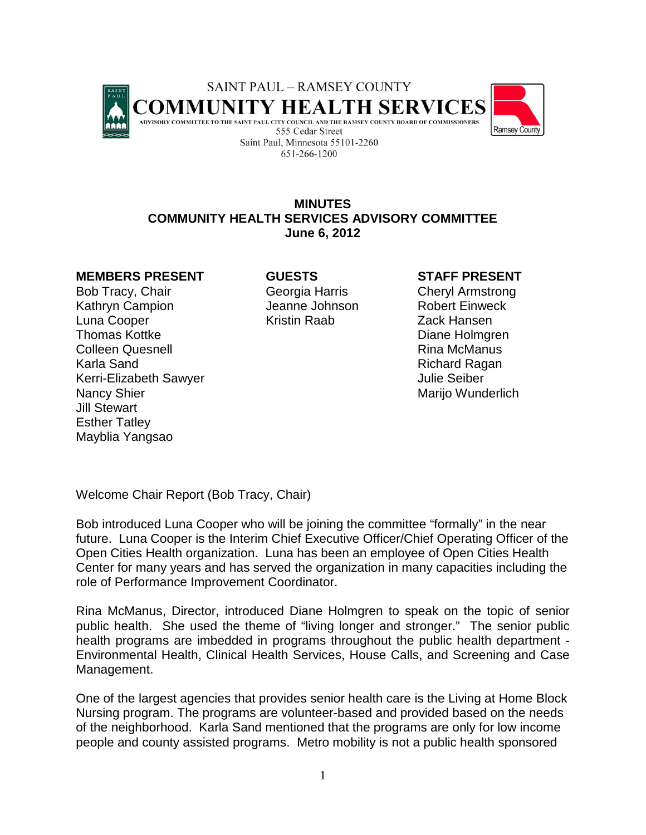

# **MINUTES COMMUNITY HEALTH SERVICES ADVISORY COMMITTEE June 6, 2012**

# **MEMBERS PRESENT GUESTS STAFF PRESENT**

Bob Tracy, Chair **Georgia Harris** Cheryl Armstrong Kathryn Campion **Campion** Jeanne Johnson Robert Einweck Luna Cooper Kristin Raab Zack Hansen Thomas Kottke **Diane Holmgren Colleen Quesnell College College College College College College Act No. 2016** Karla Sand **Richard Richard Ragan** Kerri-Elizabeth Sawyer **Versity Seiber** Julie Seiber Nancy Shier Marijo Wunderlich Marijo Wunderlich Jill Stewart Esther Tatley Mayblia Yangsao

Welcome Chair Report (Bob Tracy, Chair)

Bob introduced Luna Cooper who will be joining the committee "formally" in the near future. Luna Cooper is the Interim Chief Executive Officer/Chief Operating Officer of the Open Cities Health organization. Luna has been an employee of Open Cities Health Center for many years and has served the organization in many capacities including the role of Performance Improvement Coordinator.

Rina McManus, Director, introduced Diane Holmgren to speak on the topic of senior public health. She used the theme of "living longer and stronger." The senior public health programs are imbedded in programs throughout the public health department - Environmental Health, Clinical Health Services, House Calls, and Screening and Case Management.

One of the largest agencies that provides senior health care is the Living at Home Block Nursing program. The programs are volunteer-based and provided based on the needs of the neighborhood. Karla Sand mentioned that the programs are only for low income people and county assisted programs. Metro mobility is not a public health sponsored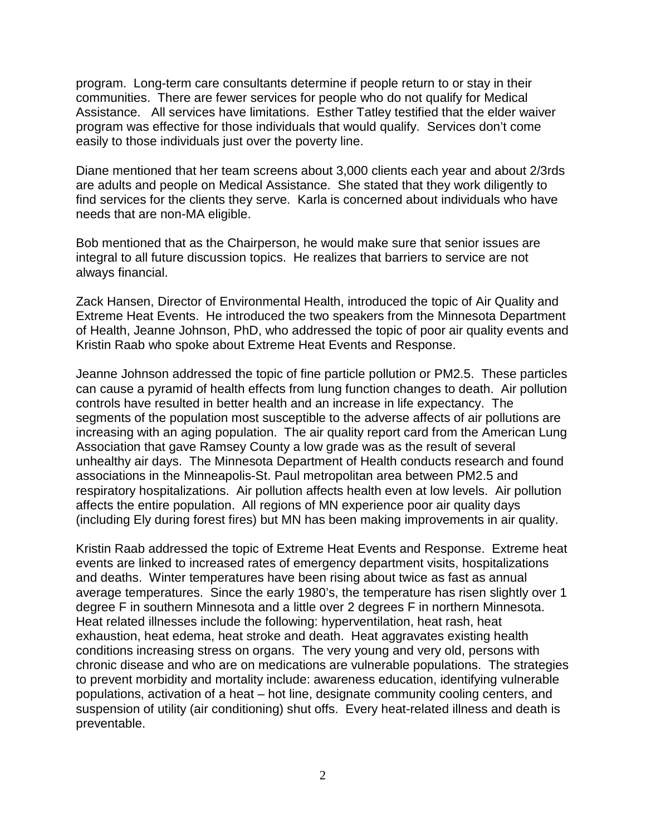program. Long-term care consultants determine if people return to or stay in their communities. There are fewer services for people who do not qualify for Medical Assistance. All services have limitations. Esther Tatley testified that the elder waiver program was effective for those individuals that would qualify. Services don't come easily to those individuals just over the poverty line.

Diane mentioned that her team screens about 3,000 clients each year and about 2/3rds are adults and people on Medical Assistance. She stated that they work diligently to find services for the clients they serve. Karla is concerned about individuals who have needs that are non-MA eligible.

Bob mentioned that as the Chairperson, he would make sure that senior issues are integral to all future discussion topics. He realizes that barriers to service are not always financial.

Zack Hansen, Director of Environmental Health, introduced the topic of Air Quality and Extreme Heat Events. He introduced the two speakers from the Minnesota Department of Health, Jeanne Johnson, PhD, who addressed the topic of poor air quality events and Kristin Raab who spoke about Extreme Heat Events and Response.

Jeanne Johnson addressed the topic of fine particle pollution or PM2.5. These particles can cause a pyramid of health effects from lung function changes to death. Air pollution controls have resulted in better health and an increase in life expectancy. The segments of the population most susceptible to the adverse affects of air pollutions are increasing with an aging population. The air quality report card from the American Lung Association that gave Ramsey County a low grade was as the result of several unhealthy air days. The Minnesota Department of Health conducts research and found associations in the Minneapolis-St. Paul metropolitan area between PM2.5 and respiratory hospitalizations. Air pollution affects health even at low levels. Air pollution affects the entire population. All regions of MN experience poor air quality days (including Ely during forest fires) but MN has been making improvements in air quality.

Kristin Raab addressed the topic of Extreme Heat Events and Response. Extreme heat events are linked to increased rates of emergency department visits, hospitalizations and deaths. Winter temperatures have been rising about twice as fast as annual average temperatures. Since the early 1980's, the temperature has risen slightly over 1 degree F in southern Minnesota and a little over 2 degrees F in northern Minnesota. Heat related illnesses include the following: hyperventilation, heat rash, heat exhaustion, heat edema, heat stroke and death. Heat aggravates existing health conditions increasing stress on organs. The very young and very old, persons with chronic disease and who are on medications are vulnerable populations. The strategies to prevent morbidity and mortality include: awareness education, identifying vulnerable populations, activation of a heat – hot line, designate community cooling centers, and suspension of utility (air conditioning) shut offs. Every heat-related illness and death is preventable.